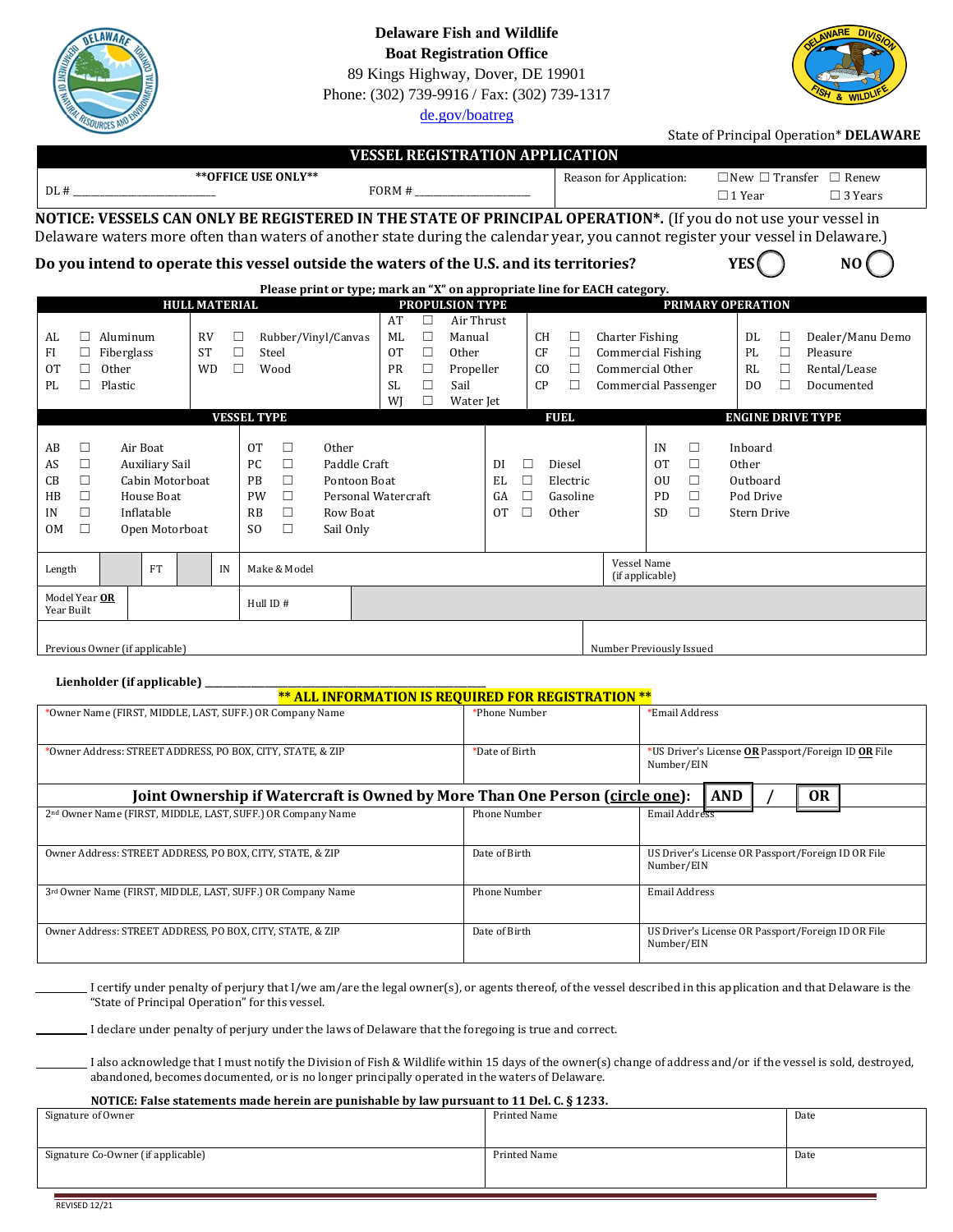|                                                                                                                                                                                |                                                                                                                                                                                                                                                                                                                                                         | Phone: (302) 739-9916 / Fax: (302) 739-1317<br>de.gov/boatreg                                                                                                          |                                                                                                    |                                                                                                        |                                                                                                                                                                                                                                                                                                                                    |  |  |
|--------------------------------------------------------------------------------------------------------------------------------------------------------------------------------|---------------------------------------------------------------------------------------------------------------------------------------------------------------------------------------------------------------------------------------------------------------------------------------------------------------------------------------------------------|------------------------------------------------------------------------------------------------------------------------------------------------------------------------|----------------------------------------------------------------------------------------------------|--------------------------------------------------------------------------------------------------------|------------------------------------------------------------------------------------------------------------------------------------------------------------------------------------------------------------------------------------------------------------------------------------------------------------------------------------|--|--|
|                                                                                                                                                                                |                                                                                                                                                                                                                                                                                                                                                         |                                                                                                                                                                        |                                                                                                    |                                                                                                        | State of Principal Operation* DELAWARE                                                                                                                                                                                                                                                                                             |  |  |
| DL #                                                                                                                                                                           | ** OFFICE USE ONLY**                                                                                                                                                                                                                                                                                                                                    | <b>VESSEL REGISTRATION APPLICATION</b><br>$FORM # \_$                                                                                                                  |                                                                                                    | Reason for Application:                                                                                | $\Box$ New $\Box$ Transfer $\Box$ Renew<br>$\Box$ 3 Years<br>$\Box$ 1 Year                                                                                                                                                                                                                                                         |  |  |
|                                                                                                                                                                                | NOTICE: VESSELS CAN ONLY BE REGISTERED IN THE STATE OF PRINCIPAL OPERATION*. (If you do not use your vessel in<br>Delaware waters more often than waters of another state during the calendar year, you cannot register your vessel in Delaware.)                                                                                                       |                                                                                                                                                                        |                                                                                                    |                                                                                                        |                                                                                                                                                                                                                                                                                                                                    |  |  |
|                                                                                                                                                                                | Do you intend to operate this vessel outside the waters of the U.S. and its territories?                                                                                                                                                                                                                                                                |                                                                                                                                                                        |                                                                                                    |                                                                                                        | N <sub>0</sub>                                                                                                                                                                                                                                                                                                                     |  |  |
| Please print or type; mark an "X" on appropriate line for EACH category.<br><b>HULL MATERIAL</b><br>PRIMARY OPERATION<br>PROPULSION TYPE                                       |                                                                                                                                                                                                                                                                                                                                                         |                                                                                                                                                                        |                                                                                                    |                                                                                                        |                                                                                                                                                                                                                                                                                                                                    |  |  |
| $\Box$ Aluminum<br>AL<br>FI<br>$\Box$ Fiberglass<br>0T<br>Other<br>□<br>Plastic<br>PL<br>п                                                                                     | <b>RV</b><br>Rubber/Vinyl/Canvas<br>□<br>$\Box$<br><b>ST</b><br>Steel<br><b>WD</b><br>П<br>Wood                                                                                                                                                                                                                                                         | AT<br>$\Box$<br>Air Thrust<br>ML<br>$\Box$<br>Manual<br>$\Box$<br>0T<br>Other<br>PR<br>$\Box$<br>Propeller<br>$\Box$<br>Sail<br><b>SL</b><br>$\Box$<br>WJ<br>Water Jet | CН<br>$\Box$<br>CF<br>$\Box$<br>CO<br>$\Box$<br>CP<br>$\Box$                                       | <b>Charter Fishing</b><br><b>Commercial Fishing</b><br>Commercial Other<br><b>Commercial Passenger</b> | DL<br>Dealer/Manu Demo<br>□<br>PL<br>$\Box$<br>Pleasure<br>RL<br>$\Box$<br>Rental/Lease<br>$\Box$<br>D <sub>0</sub><br>Documented                                                                                                                                                                                                  |  |  |
|                                                                                                                                                                                | <b>VESSEL TYPE</b>                                                                                                                                                                                                                                                                                                                                      |                                                                                                                                                                        | FUEL                                                                                               |                                                                                                        | <b>ENGINE DRIVE TYPE</b>                                                                                                                                                                                                                                                                                                           |  |  |
| AB<br>Air Boat<br>□<br>□<br><b>Auxiliary Sail</b><br>AS<br>CB<br>□<br>Cabin Motorboat<br>$\Box$<br>House Boat<br>HB<br>□<br>Inflatable<br>IN<br>$\Box$<br>0M<br>Open Motorboat | <b>OT</b><br><b>Other</b><br>□<br>$\Box$<br>PC<br>Paddle Craft<br>$\Box$<br>PB<br>Pontoon Boat<br>$\Box$<br>PW<br>$\Box$<br>RB<br>Row Boat<br>$\Box$<br>S <sub>O</sub><br>Sail Only                                                                                                                                                                     | Personal Watercraft                                                                                                                                                    | DI<br>□<br>Diesel<br>$\Box$<br>EL<br>Electric<br>$\Box$<br>GA<br>Gasoline<br>$\Box$<br>0T<br>Other | IN<br>$\Box$<br>$\Box$<br>0T<br>$\Box$<br>0U<br>$\Box$<br>PD<br>$\Box$<br><b>SD</b>                    | Inboard<br>Other<br>Outboard<br>Pod Drive<br>Stern Drive                                                                                                                                                                                                                                                                           |  |  |
| <b>FT</b><br>Length                                                                                                                                                            | Make & Model<br>IN                                                                                                                                                                                                                                                                                                                                      |                                                                                                                                                                        |                                                                                                    | Vessel Name<br>(if applicable)                                                                         |                                                                                                                                                                                                                                                                                                                                    |  |  |
| Model Year OR<br>Year Built                                                                                                                                                    | Hull ID #                                                                                                                                                                                                                                                                                                                                               |                                                                                                                                                                        |                                                                                                    |                                                                                                        |                                                                                                                                                                                                                                                                                                                                    |  |  |
| Previous Owner (if applicable)                                                                                                                                                 | Number Previously Issued                                                                                                                                                                                                                                                                                                                                |                                                                                                                                                                        |                                                                                                    |                                                                                                        |                                                                                                                                                                                                                                                                                                                                    |  |  |
| Lienholder (if applicable) _                                                                                                                                                   |                                                                                                                                                                                                                                                                                                                                                         | ** ALL INFORMATION IS REQUIRED FOR REGISTRATION **                                                                                                                     |                                                                                                    |                                                                                                        |                                                                                                                                                                                                                                                                                                                                    |  |  |
|                                                                                                                                                                                | *Owner Name (FIRST, MIDDLE, LAST, SUFF.) OR Company Name                                                                                                                                                                                                                                                                                                |                                                                                                                                                                        | *Phone Number                                                                                      | *Email Address                                                                                         |                                                                                                                                                                                                                                                                                                                                    |  |  |
| *Owner Address: STREET ADDRESS, PO BOX, CITY, STATE, & ZIP                                                                                                                     |                                                                                                                                                                                                                                                                                                                                                         |                                                                                                                                                                        | *Date of Birth                                                                                     | Number/EIN                                                                                             | *US Driver's License OR Passport/Foreign ID OR File                                                                                                                                                                                                                                                                                |  |  |
|                                                                                                                                                                                | Joint Ownership if Watercraft is Owned by More Than One Person (circle one):<br>2nd Owner Name (FIRST, MIDDLE, LAST, SUFF.) OR Company Name                                                                                                                                                                                                             |                                                                                                                                                                        |                                                                                                    | <b>AND</b><br>Email Address                                                                            | <b>OR</b>                                                                                                                                                                                                                                                                                                                          |  |  |
|                                                                                                                                                                                |                                                                                                                                                                                                                                                                                                                                                         |                                                                                                                                                                        | <b>Phone Number</b>                                                                                |                                                                                                        |                                                                                                                                                                                                                                                                                                                                    |  |  |
| Owner Address: STREET ADDRESS, PO BOX, CITY, STATE, & ZIP                                                                                                                      |                                                                                                                                                                                                                                                                                                                                                         |                                                                                                                                                                        | Date of Birth                                                                                      | Number/EIN                                                                                             | US Driver's License OR Passport/Foreign ID OR File                                                                                                                                                                                                                                                                                 |  |  |
| 3rd Owner Name (FIRST, MIDDLE, LAST, SUFF.) OR Company Name                                                                                                                    |                                                                                                                                                                                                                                                                                                                                                         |                                                                                                                                                                        | Phone Number                                                                                       | <b>Email Address</b>                                                                                   |                                                                                                                                                                                                                                                                                                                                    |  |  |
| Owner Address: STREET ADDRESS, PO BOX, CITY, STATE, & ZIP                                                                                                                      |                                                                                                                                                                                                                                                                                                                                                         |                                                                                                                                                                        | Date of Birth                                                                                      | Number/EIN                                                                                             | US Driver's License OR Passport/Foreign ID OR File                                                                                                                                                                                                                                                                                 |  |  |
|                                                                                                                                                                                | "State of Principal Operation" for this vessel.<br>I declare under penalty of perjury under the laws of Delaware that the foregoing is true and correct.<br>abandoned, becomes documented, or is no longer principally operated in the waters of Delaware.<br>NOTICE: False statements made herein are punishable by law pursuant to 11 Del. C. § 1233. |                                                                                                                                                                        |                                                                                                    |                                                                                                        | I certify under penalty of perjury that I/we am/are the legal owner(s), or agents thereof, of the vessel described in this application and that Delaware is the<br>I also acknowledge that I must notify the Division of Fish & Wildlife within 15 days of the owner(s) change of address and/or if the vessel is sold, destroyed, |  |  |
| Signature of Owner                                                                                                                                                             |                                                                                                                                                                                                                                                                                                                                                         |                                                                                                                                                                        | Printed Name                                                                                       |                                                                                                        | Date                                                                                                                                                                                                                                                                                                                               |  |  |
| Signature Co-Owner (if applicable)                                                                                                                                             |                                                                                                                                                                                                                                                                                                                                                         |                                                                                                                                                                        | Printed Name                                                                                       |                                                                                                        | Date                                                                                                                                                                                                                                                                                                                               |  |  |

**Delaware Fish and Wildlife Boat Registration Office**  89 Kings Highway, Dover, DE 19901

DELAWAR